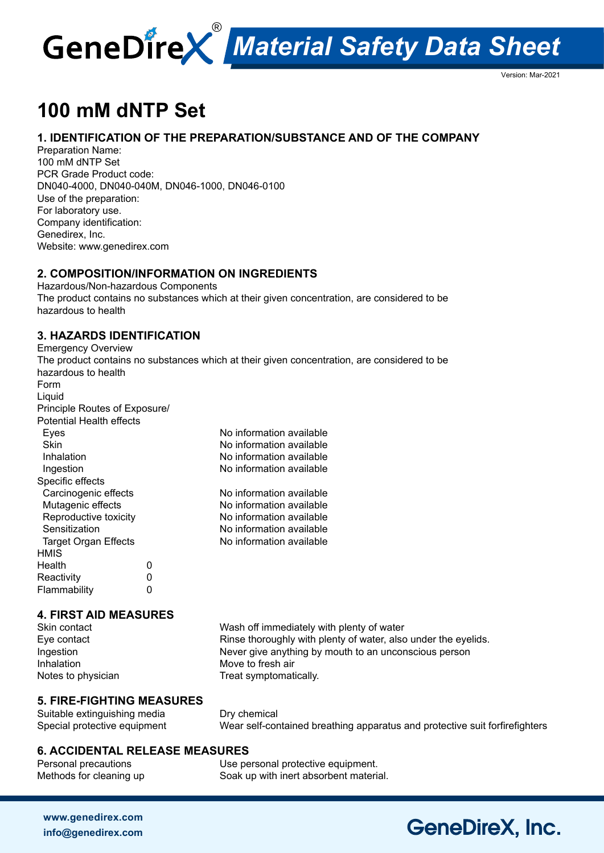

Version: Mar-2021

# **100 mM dNTP Set**

### **1. IDENTIFICATION OF THE PREPARATION/SUBSTANCE AND OF THE COMPANY**

Preparation Name: 100 mM dNTP Set PCR Grade Product code: DN040-4000, DN040-040M, DN046-1000, DN046-0100 Use of the preparation: For laboratory use. Company identification: Genedirex, Inc. Website: www.genedirex.com

### **2. COMPOSITION/INFORMATION ON INGREDIENTS**

Hazardous/Non-hazardous Components The product contains no substances which at their given concentration, are considered to be hazardous to health

### **3. HAZARDS IDENTIFICATION**

Emergency Overview The product contains no substances which at their given concentration, are considered to be

| hazardous to health             |   |                          |
|---------------------------------|---|--------------------------|
| Form                            |   |                          |
| Liquid                          |   |                          |
| Principle Routes of Exposure/   |   |                          |
| <b>Potential Health effects</b> |   |                          |
| Eyes                            |   | No information available |
| Skin                            |   | No information available |
| Inhalation                      |   | No information available |
| Ingestion                       |   | No information available |
| Specific effects                |   |                          |
| Carcinogenic effects            |   | No information available |
| Mutagenic effects               |   | No information available |
| Reproductive toxicity           |   | No information available |
| Sensitization                   |   | No information available |
| <b>Target Organ Effects</b>     |   | No information available |
| HMIS                            |   |                          |
| Health                          | O |                          |
| Reactivity                      | 0 |                          |
| Flammability                    |   |                          |

### **4. FIRST AID MEASURES**

Inhalation Move to fresh air

Skin contact Wash off immediately with plenty of water Eye contact Eve contact Rinse thoroughly with plenty of water, also under the eyelids. Ingestion Never give anything by mouth to an unconscious person Notes to physician Treat symptomatically.

### **5. FIRE-FIGHTING MEASURES**

Suitable extinguishing media Dry chemical

Special protective equipment Wear self-contained breathing apparatus and protective suit forfirefighters

### **6. ACCIDENTAL RELEASE MEASURES**

Personal precautions Use personal protective equipment. Methods for cleaning up Soak up with inert absorbent material.

# **GeneDireX, Inc.**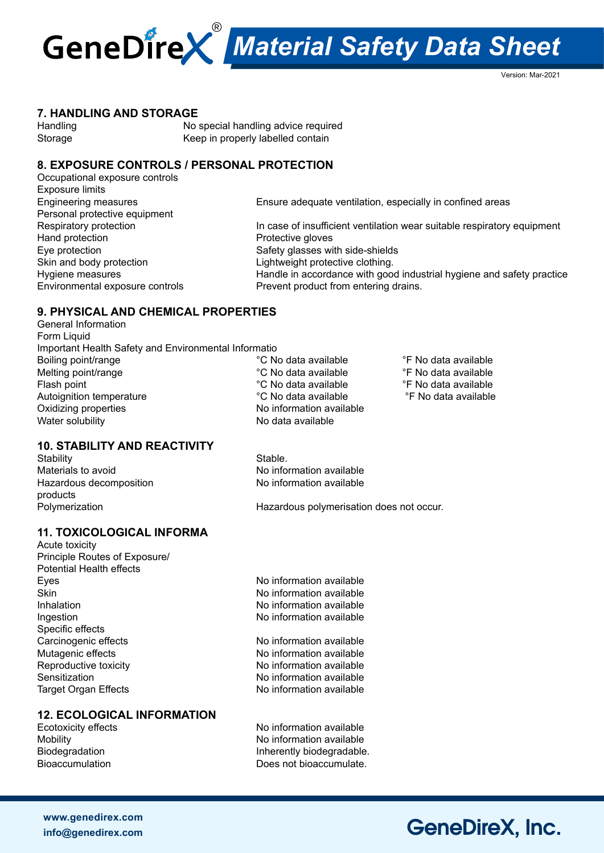

Version: Mar-2021

#### **7. HANDLING AND STORAGE**

Handling **No special handling advice required** Storage Keep in properly labelled contain

### **8. EXPOSURE CONTROLS / PERSONAL PROTECTION**

Occupational exposure controls Exposure limits Personal protective equipment Hand protection **Protective gloves** Environmental exposure controls **Prevent product from entering drains.** 

Engineering measures Ensure adequate ventilation, especially in confined areas Respiratory protection **In case of insufficient ventilation wear suitable respiratory equipment** Eye protection Safety glasses with side-shields Skin and body protection **Lightweight protective clothing.** Hygiene measures **Handle in accordance with good industrial hygiene and safety practice** 

#### **9. PHYSICAL AND CHEMICAL PROPERTIES**

General Information **Form Liquid** Important Health Safety and Environmental Informatio Boiling point/range The C No data available <sup>or</sup> C No data available <sup>or</sup> F No data available Melting point/range  $\begin{array}{cc}\n\text{N}\n\text{C}\n\end{array}$  No data available  $\begin{array}{cc}\n\text{C}\n\text{N}\n\text{C}\n\end{array}$  Mo data available  $\begin{array}{cc}\n\text{C}\n\text{N}\n\text{C}\n\end{array}$  and a vailable  $\begin{array}{cc}\n\text{C}\n\text{N}\n\text{C}\n\end{array}$ Flash point **Flash point** <sup>°</sup>C No data available <sup>•</sup>F No data available <sup>•</sup>F No data available <sup>•</sup>F No data available <sup>•</sup>F No data available Autoignition temperature Oxidizing properties No information available Water solubility No data available

**10. STABILITY AND REACTIVITY**

Stability Stable.<br>
Materials to avoid Materials to avoid Hazardous decomposition products

No information available<br>No information available

Polymerization Hazardous polymerisation does not occur.

### **11. TOXICOLOGICAL INFORMA**

Acute toxicity Principle Routes of Exposure/ Potential Health effects Eyes Eyes Eyes and the Skin and the Skin and the Skin and the Skin and the Skin and the Northern Skin and the N<br>No information available Inhalation **Inhalation** available in the No information available Ingestion **No information available** Specific effects Carcinogenic effects No information available Mutagenic effects Noinformation available Reproductive toxicity No information available Sensitization **No information available** Target Organ Effects **No information available** 

## **12. ECOLOGICAL INFORMATION**

No information available

No information available Mobility No information available Biodegradation **Inherently biodegradable.**<br>Bioaccumulation **Information** Does not bioaccumulate. Does not bioaccumulate.

## **GeneDireX, Inc.**